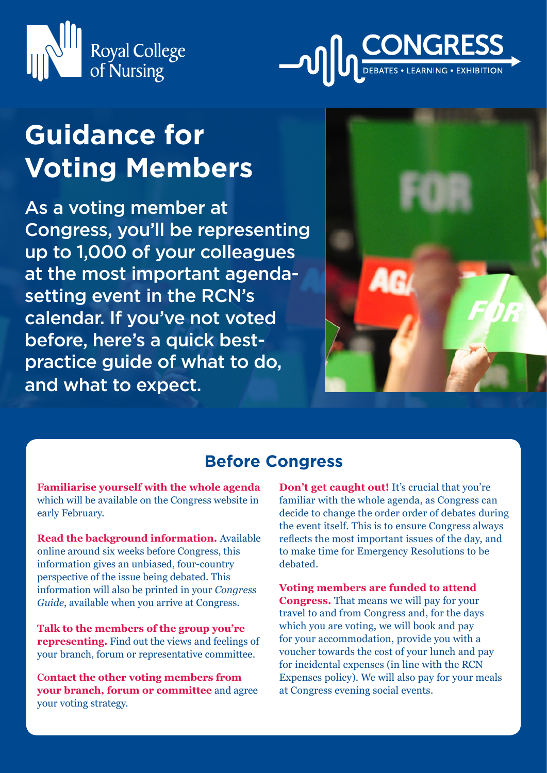



# **Guidance for Voting Members**

As a voting member at Congress, you'll be representing up to 1,000 of your colleagues at the most important agendasetting event in the RCN's calendar. If you've not voted before, here's a quick bestpractice guide of what to do, and what to expect.



## **Before Congress**

**Familiarise yourself with the whole agenda** which will be available on the Congress website in early February.

**Read the background information.** Available online around six weeks before Congress, this information gives an unbiased, four-country perspective of the issue being debated. This information will also be printed in your *Congress Guide*, available when you arrive at Congress.

**Talk to the members of the group you're representing.** Find out the views and feelings of your branch, forum or representative committee.

**Contact the other voting members from your branch, forum or committee** and agree your voting strategy.

**Don't get caught out!** It's crucial that you're familiar with the whole agenda, as Congress can decide to change the order order of debates during the event itself. This is to ensure Congress always reflects the most important issues of the day, and to make time for Emergency Resolutions to be debated.

**Voting members are funded to attend Congress.** That means we will pay for your travel to and from Congress and, for the days which you are voting, we will book and pay for your accommodation, provide you with a voucher towards the cost of your lunch and pay for incidental expenses (in line with the RCN Expenses policy). We will also pay for your meals at Congress evening social events.